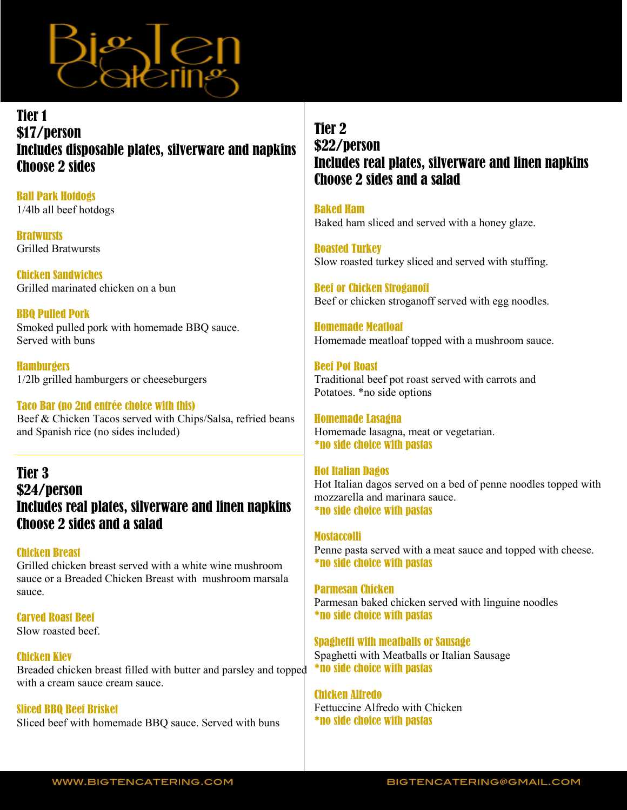

### Tier 1 \$17/person Includes disposable plates, silverware and napkins Choose 2 sides

Ball Park Hotdogs 1/4lb all beef hotdogs

**Bratwursts** Grilled Bratwursts

Chicken Sandwiches Grilled marinated chicken on a bun

BBQ Pulled Pork Smoked pulled pork with homemade BBQ sauce. Served with buns

**Hamburgers** 1/2lb grilled hamburgers or cheeseburgers

#### Taco Bar (no 2nd entrée choice with this)

Beef & Chicken Tacos served with Chips/Salsa, refried beans and Spanish rice (no sides included)

### Tier 3 \$24/person Includes real plates, silverware and linen napkins Choose 2 sides and a salad

#### Chicken Breast

Grilled chicken breast served with a white wine mushroom sauce or a Breaded Chicken Breast with mushroom marsala sauce.

Carved Roast Beef Slow roasted beef.

#### Chicken Kiev Breaded chicken breast filled with butter and parsley and topped with a cream sauce cream sauce.

Sliced BBQ Beef Brisket Sliced beef with homemade BBQ sauce. Served with buns

## Tier 2 \$22/person Includes real plates, silverware and linen napkins Choose 2 sides and a salad

Baked Ham Baked ham sliced and served with a honey glaze.

Roasted Turkey Slow roasted turkey sliced and served with stuffing.

Beef or Chicken Stroganoff Beef or chicken stroganoff served with egg noodles.

Homemade Meatloaf Homemade meatloaf topped with a mushroom sauce.

Beef Pot Roast Traditional beef pot roast served with carrots and Potatoes. \*no side options

Homemade Lasagna Homemade lasagna, meat or vegetarian. \*no side choice with pastas

# Hot Italian Dagos

Hot Italian dagos served on a bed of penne noodles topped with mozzarella and marinara sauce. \*no side choice with pastas

# **Mostaccolli**

Penne pasta served with a meat sauce and topped with cheese. \*no side choice with pastas

Parmesan Chicken Parmesan baked chicken served with linguine noodles \*no side choice with pastas

Spaghetti with meatballs or Sausage Spaghetti with Meatballs or Italian Sausage \*no side choice with pastas

Chicken Alfredo Fettuccine Alfredo with Chicken \*no side choice with pastas